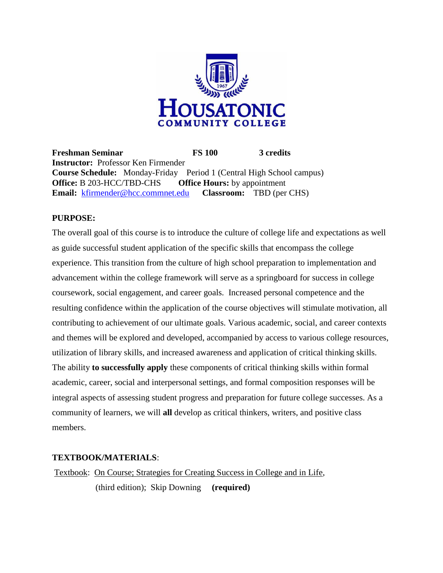

**Freshman Seminar FS 100 3 credits Instructor:** Professor Ken Firmender **Course Schedule:** Monday-Friday Period 1 (Central High School campus) **Office:** B 203-HCC/TBD-CHS **Office Hours:** by appointment **Email:** [kfirmender@hcc.commnet.edu](mailto:kfirmender@hcc.commnet.edu) **Classroom:** TBD (per CHS)

#### **PURPOSE:**

The overall goal of this course is to introduce the culture of college life and expectations as well as guide successful student application of the specific skills that encompass the college experience. This transition from the culture of high school preparation to implementation and advancement within the college framework will serve as a springboard for success in college coursework, social engagement, and career goals. Increased personal competence and the resulting confidence within the application of the course objectives will stimulate motivation, all contributing to achievement of our ultimate goals. Various academic, social, and career contexts and themes will be explored and developed, accompanied by access to various college resources, utilization of library skills, and increased awareness and application of critical thinking skills. The ability **to successfully apply** these components of critical thinking skills within formal academic, career, social and interpersonal settings, and formal composition responses will be integral aspects of assessing student progress and preparation for future college successes. As a community of learners, we will **all** develop as critical thinkers, writers, and positive class members.

#### **TEXTBOOK/MATERIALS**:

Textbook: On Course; Strategies for Creating Success in College and in Life, (third edition); Skip Downing **(required)**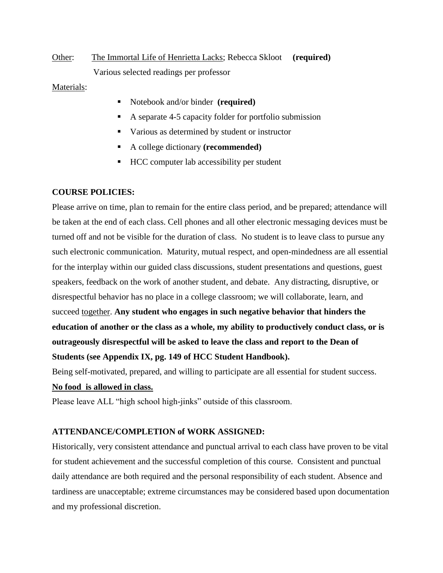Other: The Immortal Life of Henrietta Lacks; Rebecca Skloot **(required)** Various selected readings per professor

Materials:

- Notebook and/or binder **(required)**
- A separate 4-5 capacity folder for portfolio submission
- Various as determined by student or instructor
- A college dictionary **(recommended)**
- HCC computer lab accessibility per student

#### **COURSE POLICIES:**

Please arrive on time, plan to remain for the entire class period, and be prepared; attendance will be taken at the end of each class. Cell phones and all other electronic messaging devices must be turned off and not be visible for the duration of class. No student is to leave class to pursue any such electronic communication. Maturity, mutual respect, and open-mindedness are all essential for the interplay within our guided class discussions, student presentations and questions, guest speakers, feedback on the work of another student, and debate. Any distracting, disruptive, or disrespectful behavior has no place in a college classroom; we will collaborate, learn, and succeed together. **Any student who engages in such negative behavior that hinders the education of another or the class as a whole, my ability to productively conduct class, or is outrageously disrespectful will be asked to leave the class and report to the Dean of Students (see Appendix IX, pg. 149 of HCC Student Handbook).**

Being self-motivated, prepared, and willing to participate are all essential for student success.

#### **No food is allowed in class.**

Please leave ALL "high school high-jinks" outside of this classroom.

#### **ATTENDANCE/COMPLETION of WORK ASSIGNED:**

Historically, very consistent attendance and punctual arrival to each class have proven to be vital for student achievement and the successful completion of this course. Consistent and punctual daily attendance are both required and the personal responsibility of each student. Absence and tardiness are unacceptable; extreme circumstances may be considered based upon documentation and my professional discretion.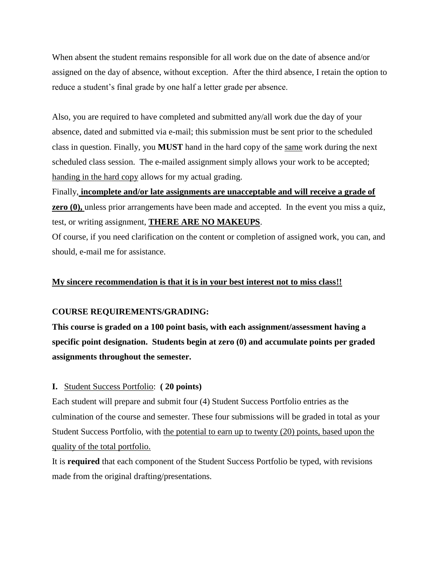When absent the student remains responsible for all work due on the date of absence and/or assigned on the day of absence, without exception. After the third absence, I retain the option to reduce a student's final grade by one half a letter grade per absence.

Also, you are required to have completed and submitted any/all work due the day of your absence, dated and submitted via e-mail; this submission must be sent prior to the scheduled class in question. Finally, you **MUST** hand in the hard copy of the same work during the next scheduled class session. The e-mailed assignment simply allows your work to be accepted; handing in the hard copy allows for my actual grading.

Finally, **incomplete and/or late assignments are unacceptable and will receive a grade of zero (0),** unless prior arrangements have been made and accepted. In the event you miss a quiz, test, or writing assignment, **THERE ARE NO MAKEUPS**.

Of course, if you need clarification on the content or completion of assigned work, you can, and should, e-mail me for assistance.

#### **My sincere recommendation is that it is in your best interest not to miss class!!**

#### **COURSE REQUIREMENTS/GRADING:**

**This course is graded on a 100 point basis, with each assignment/assessment having a specific point designation. Students begin at zero (0) and accumulate points per graded assignments throughout the semester.**

#### **I.** Student Success Portfolio: **( 20 points)**

Each student will prepare and submit four (4) Student Success Portfolio entries as the culmination of the course and semester. These four submissions will be graded in total as your Student Success Portfolio, with the potential to earn up to twenty (20) points, based upon the quality of the total portfolio.

It is **required** that each component of the Student Success Portfolio be typed, with revisions made from the original drafting/presentations.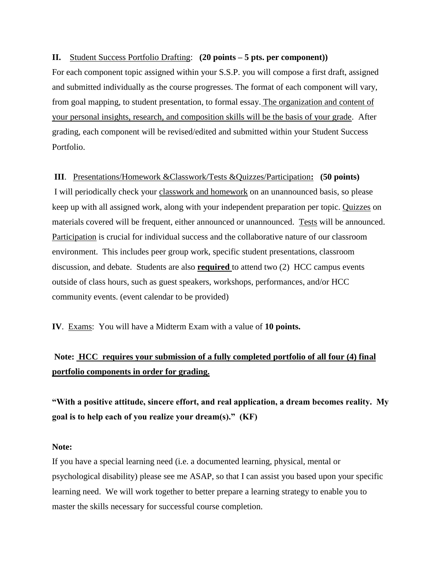#### **II.** Student Success Portfolio Drafting: **(20 points – 5 pts. per component))**

For each component topic assigned within your S.S.P. you will compose a first draft, assigned and submitted individually as the course progresses. The format of each component will vary, from goal mapping, to student presentation, to formal essay. The organization and content of your personal insights, research, and composition skills will be the basis of your grade. After grading, each component will be revised/edited and submitted within your Student Success Portfolio.

#### **III**. Presentations/Homework &Classwork/Tests &Quizzes/Participation**: (50 points)**

I will periodically check your classwork and homework on an unannounced basis, so please keep up with all assigned work, along with your independent preparation per topic. Quizzes on materials covered will be frequent, either announced or unannounced. Tests will be announced. Participation is crucial for individual success and the collaborative nature of our classroom environment. This includes peer group work, specific student presentations, classroom discussion, and debate. Students are also **required** to attend two (2) HCC campus events outside of class hours, such as guest speakers, workshops, performances, and/or HCC community events. (event calendar to be provided)

**IV**. Exams: You will have a Midterm Exam with a value of **10 points.** 

## **Note: HCC requires your submission of a fully completed portfolio of all four (4) final portfolio components in order for grading.**

**"With a positive attitude, sincere effort, and real application, a dream becomes reality. My goal is to help each of you realize your dream(s)." (KF)**

#### **Note:**

If you have a special learning need (i.e. a documented learning, physical, mental or psychological disability) please see me ASAP, so that I can assist you based upon your specific learning need. We will work together to better prepare a learning strategy to enable you to master the skills necessary for successful course completion.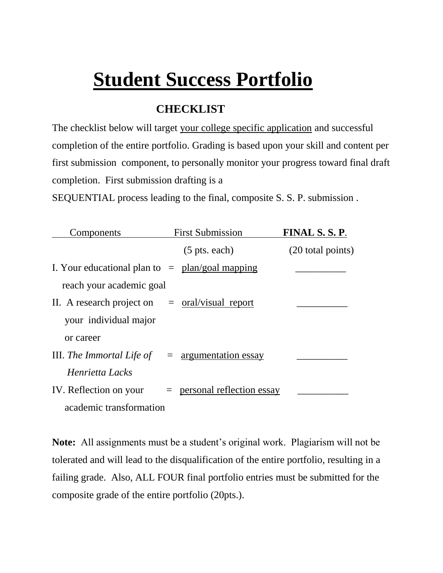# **Student Success Portfolio**

## **CHECKLIST**

The checklist below will target your college specific application and successful completion of the entire portfolio. Grading is based upon your skill and content per first submission component, to personally monitor your progress toward final draft completion. First submission drafting is a

SEQUENTIAL process leading to the final, composite S. S. P. submission .

| Components                                        | <b>First Submission</b>       | FINAL S.S.P.      |
|---------------------------------------------------|-------------------------------|-------------------|
|                                                   | $(5 \text{ pts. each})$       | (20 total points) |
| I. Your educational plan to $=$ plan/goal mapping |                               |                   |
| reach your academic goal                          |                               |                   |
| II. A research project on $=$ oral/visual report  |                               |                   |
| your individual major                             |                               |                   |
| or career                                         |                               |                   |
| III. The Immortal Life of $=$ argumentation essay |                               |                   |
| Henrietta Lacks                                   |                               |                   |
| IV. Reflection on your                            | $=$ personal reflection essay |                   |
| academic transformation                           |                               |                   |

**Note:** All assignments must be a student's original work. Plagiarism will not be tolerated and will lead to the disqualification of the entire portfolio, resulting in a failing grade. Also, ALL FOUR final portfolio entries must be submitted for the composite grade of the entire portfolio (20pts.).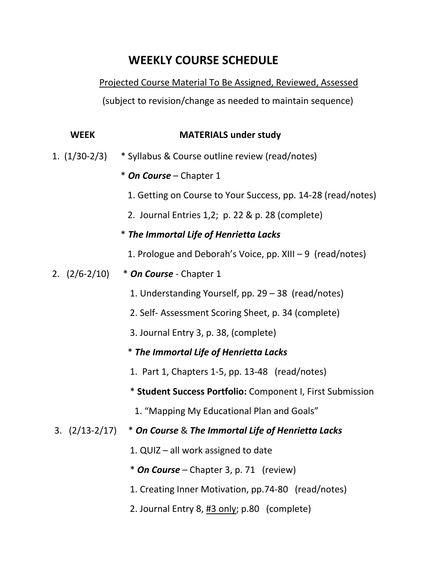## **WEEKLY COURSE SCHEDULE**

## Projected Course Material To Be Assigned, Reviewed, Assessed

(subject to revision/change as needed to maintain sequence)

| <b>WEEK</b>        | <b>MATERIALS under study</b>                                 |
|--------------------|--------------------------------------------------------------|
| $1. (1/30-2/3)$    | * Syllabus & Course outline review (read/notes)              |
|                    | * On Course - Chapter 1                                      |
|                    | 1. Getting on Course to Your Success, pp. 14-28 (read/notes) |
|                    | 2. Journal Entries 1,2; p. 22 & p. 28 (complete)             |
|                    | * The Immortal Life of Henrietta Lacks                       |
|                    | 1. Prologue and Deborah's Voice, pp. XIII $-9$ (read/notes)  |
| $2. (2/6-2/10)$    | * On Course - Chapter 1                                      |
|                    | 1. Understanding Yourself, pp. 29 - 38 (read/notes)          |
|                    | 2. Self-Assessment Scoring Sheet, p. 34 (complete)           |
|                    | 3. Journal Entry 3, p. 38, (complete)                        |
|                    | * The Immortal Life of Henrietta Lacks                       |
|                    | 1. Part 1, Chapters 1-5, pp. 13-48 (read/notes)              |
|                    | * Student Success Portfolio: Component I, First Submission   |
|                    | 1. "Mapping My Educational Plan and Goals"                   |
| $3. \ (2/13-2/17)$ | * On Course & The Immortal Life of Henrietta Lacks           |
|                    | 1. QUIZ - all work assigned to date                          |
|                    | * On Course – Chapter 3, p. 71 (review)                      |
|                    | 1. Creating Inner Motivation, pp.74-80 (read/notes)          |

2. Journal Entry 8, #3 only; p.80 (complete)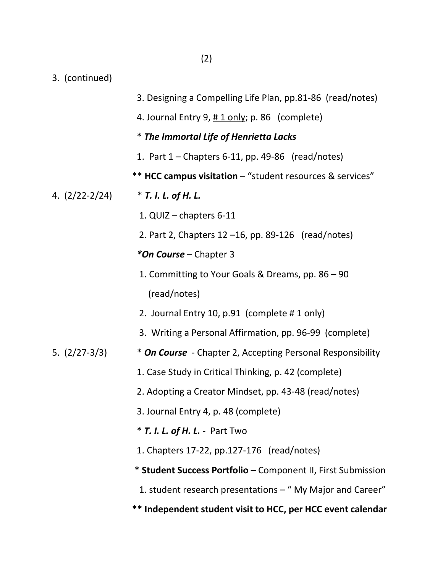3. (continued)

|                  | 3. Designing a Compelling Life Plan, pp.81-86 (read/notes)   |
|------------------|--------------------------------------------------------------|
|                  | 4. Journal Entry 9, #1 only; p. 86 (complete)                |
|                  | * The Immortal Life of Henrietta Lacks                       |
|                  | 1. Part $1$ – Chapters 6-11, pp. 49-86 (read/notes)          |
|                  | ** HCC campus visitation - "student resources & services"    |
| 4. $(2/22-2/24)$ | * T. I. L. of H. L.                                          |
|                  | 1. QUIZ - chapters 6-11                                      |
|                  | 2. Part 2, Chapters $12 - 16$ , pp. 89-126 (read/notes)      |
|                  | *On Course - Chapter 3                                       |
|                  | 1. Committing to Your Goals & Dreams, pp. 86 - 90            |
|                  | (read/notes)                                                 |
|                  | 2. Journal Entry 10, p.91 (complete #1 only)                 |
|                  | 3. Writing a Personal Affirmation, pp. 96-99 (complete)      |
| 5. $(2/27-3/3)$  | * On Course - Chapter 2, Accepting Personal Responsibility   |
|                  | 1. Case Study in Critical Thinking, p. 42 (complete)         |
|                  | 2. Adopting a Creator Mindset, pp. 43-48 (read/notes)        |
|                  | 3. Journal Entry 4, p. 48 (complete)                         |
|                  | * T. I. L. of H. L. - Part Two                               |
|                  | 1. Chapters 17-22, pp.127-176 (read/notes)                   |
|                  | * Student Success Portfolio - Component II, First Submission |
|                  | 1. student research presentations - "My Major and Career"    |
|                  | ** Independent student visit to HCC, per HCC event calendar  |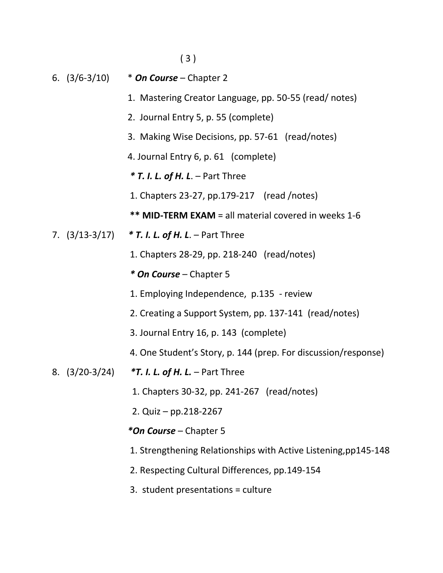( 3 )

- 6. (3/6-3/10) \* *On Course* Chapter 2
	- 1. Mastering Creator Language, pp. 50-55 (read/ notes)
	- 2. Journal Entry 5, p. 55 (complete)
	- 3. Making Wise Decisions, pp. 57-61 (read/notes)
	- 4. Journal Entry 6, p. 61 (complete)
	- *\* T. I. L. of H. L*. Part Three
	- 1. Chapters 23-27, pp.179-217 (read /notes)
	- **\*\* MID-TERM EXAM** = all material covered in weeks 1-6
- 7. (3/13-3/17) *\* T. I. L. of H. L*. Part Three
	- 1. Chapters 28-29, pp. 218-240 (read/notes)
	- *\* On Course* Chapter 5
	- 1. Employing Independence, p.135 review
	- 2. Creating a Support System, pp. 137-141 (read/notes)
	- 3. Journal Entry 16, p. 143 (complete)
	- 4. One Student's Story, p. 144 (prep. For discussion/response)
- 8. (3/20-3/24) *\*T. I. L. of H. L.* Part Three
	- 1. Chapters 30-32, pp. 241-267 (read/notes)
	- 2. Quiz pp.218-2267

### *\*On Course* – Chapter 5

- 1. Strengthening Relationships with Active Listening,pp145-148
- 2. Respecting Cultural Differences, pp.149-154
- 3. student presentations = culture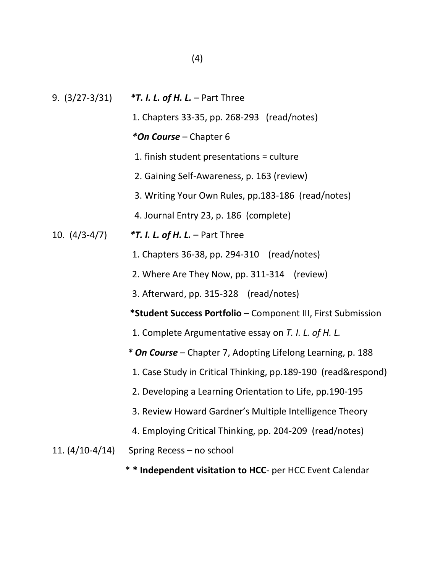| $9. (3/27 - 3/31)$ | $*T.$ I. L. of H. L. – Part Three                             |
|--------------------|---------------------------------------------------------------|
|                    | 1. Chapters 33-35, pp. 268-293 (read/notes)                   |
|                    | *On Course - Chapter 6                                        |
|                    | 1. finish student presentations = culture                     |
|                    | 2. Gaining Self-Awareness, p. 163 (review)                    |
|                    | 3. Writing Your Own Rules, pp.183-186 (read/notes)            |
|                    | 4. Journal Entry 23, p. 186 (complete)                        |
| 10. $(4/3-4/7)$    | $*T.$ I. L. of H. L. – Part Three                             |
|                    | 1. Chapters 36-38, pp. 294-310 (read/notes)                   |
|                    | 2. Where Are They Now, pp. 311-314 (review)                   |
|                    | 3. Afterward, pp. 315-328 (read/notes)                        |
|                    | *Student Success Portfolio - Component III, First Submission  |
|                    | 1. Complete Argumentative essay on T. I. L. of H. L.          |
|                    | * On Course - Chapter 7, Adopting Lifelong Learning, p. 188   |
|                    | 1. Case Study in Critical Thinking, pp.189-190 (read&respond) |
|                    | 2. Developing a Learning Orientation to Life, pp.190-195      |
|                    | 3. Review Howard Gardner's Multiple Intelligence Theory       |
|                    | 4. Employing Critical Thinking, pp. 204-209 (read/notes)      |
| 11. (4/10-4/14)    | Spring Recess - no school                                     |

\* **\* Independent visitation to HCC**- per HCC Event Calendar